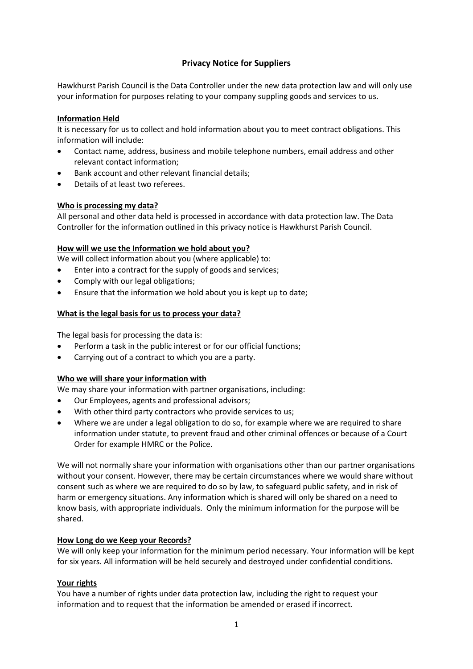# **Privacy Notice for Suppliers**

Hawkhurst Parish Council is the Data Controller under the new data protection law and will only use your information for purposes relating to your company suppling goods and services to us.

## **Information Held**

It is necessary for us to collect and hold information about you to meet contract obligations. This information will include:

- Contact name, address, business and mobile telephone numbers, email address and other relevant contact information;
- Bank account and other relevant financial details;
- Details of at least two referees.

## **Who is processing my data?**

All personal and other data held is processed in accordance with data protection law. The Data Controller for the information outlined in this privacy notice is Hawkhurst Parish Council.

### **How will we use the Information we hold about you?**

We will collect information about you (where applicable) to:

- Enter into a contract for the supply of goods and services;
- Comply with our legal obligations;
- Ensure that the information we hold about you is kept up to date;

## **What is the legal basis for us to process your data?**

The legal basis for processing the data is:

- Perform a task in the public interest or for our official functions;
- Carrying out of a contract to which you are a party.

## **Who we will share your information with**

We may share your information with partner organisations, including:

- Our Employees, agents and professional advisors;
- With other third party contractors who provide services to us;
- Where we are under a legal obligation to do so, for example where we are required to share information under statute, to prevent fraud and other criminal offences or because of a Court Order for example HMRC or the Police.

We will not normally share your information with organisations other than our partner organisations without your consent. However, there may be certain circumstances where we would share without consent such as where we are required to do so by law, to safeguard public safety, and in risk of harm or emergency situations. Any information which is shared will only be shared on a need to know basis, with appropriate individuals. Only the minimum information for the purpose will be shared.

### **How Long do we Keep your Records?**

We will only keep your information for the minimum period necessary. Your information will be kept for six years. All information will be held securely and destroyed under confidential conditions.

### **Your rights**

You have a number of rights under data protection law, including the right to request your information and to request that the information be amended or erased if incorrect.